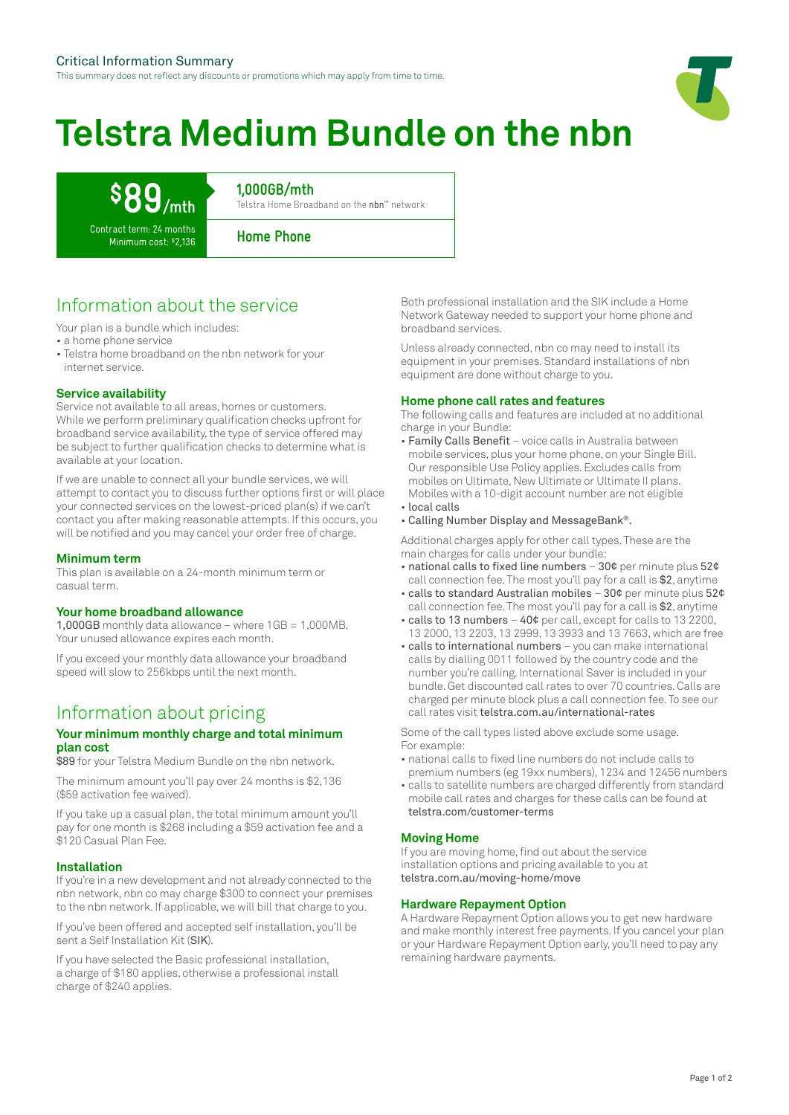This summary does not reflect any discounts or promotions which may apply from time to time.

# **Telstra Medium Bundle on the nbn**

# **\$89/mth**

**1,000GB/mth**

Telstra Home Broadband on the nbn™ network

Contract term: 24 months Minimum cost: \$2,136

**Home Phone**

# Information about the service

Your plan is a bundle which includes:

• a home phone service

• Telstra home broadband on the nbn network for your internet service.

### **Service availability**

Service not available to all areas, homes or customers. While we perform preliminary qualification checks upfront for broadband service availability, the type of service offered may be subject to further qualification checks to determine what is available at your location.

If we are unable to connect all your bundle services, we will attempt to contact you to discuss further options first or will place your connected services on the lowest-priced plan(s) if we can't contact you after making reasonable attempts. If this occurs, you will be notified and you may cancel your order free of charge.

#### **Minimum term**

This plan is available on a 24-month minimum term or casual term.

#### **Your home broadband allowance**

1,000GB monthly data allowance – where 1GB = 1,000MB. Your unused allowance expires each month.

If you exceed your monthly data allowance your broadband speed will slow to 256kbps until the next month.

## Information about pricing

#### **Your minimum monthly charge and total minimum plan cost**

\$89 for your Telstra Medium Bundle on the nbn network.

The minimum amount you'll pay over 24 months is \$2,136 (\$59 activation fee waived).

If you take up a casual plan, the total minimum amount you'll pay for one month is \$268 including a \$59 activation fee and a \$120 Casual Plan Fee.

#### **Installation**

If you're in a new development and not already connected to the nbn network, nbn co may charge \$300 to connect your premises to the nbn network. If applicable, we will bill that charge to you.

If you've been offered and accepted self installation, you'll be sent a Self Installation Kit (SIK).

If you have selected the Basic professional installation, a charge of \$180 applies, otherwise a professional install charge of \$240 applies.

Both professional installation and the SIK include a Home Network Gateway needed to support your home phone and broadband services.

Unless already connected, nbn co may need to install its equipment in your premises. Standard installations of nbn equipment are done without charge to you.

#### **Home phone call rates and features**

The following calls and features are included at no additional charge in your Bundle:

- Family Calls Benefit voice calls in Australia between mobile services, plus your home phone, on your Single Bill. Our responsible Use Policy applies. Excludes calls from mobiles on Ultimate, New Ultimate or Ultimate II plans. Mobiles with a 10-digit account number are not eligible • local calls
- Calling Number Display and MessageBank®.

Additional charges apply for other call types. These are the main charges for calls under your bundle:

- national calls to fixed line numbers 30¢ per minute plus 52¢ call connection fee. The most you'll pay for a call is \$2, anytime
- calls to standard Australian mobiles 30¢ per minute plus 52¢ call connection fee. The most you'll pay for a call is \$2, anytime
- calls to 13 numbers 40¢ per call, except for calls to 13 2200, 13 2000, 13 2203, 13 2999, 13 3933 and 13 7663, which are free
- calls to international numbers you can make international calls by dialling 0011 followed by the country code and the number you're calling. International Saver is included in your bundle. Get discounted call rates to over 70 countries. Calls are charged per minute block plus a call connection fee. To see our call rates visit telstra.com.au/international-rates

Some of the call types listed above exclude some usage. For example:

- national calls to fixed line numbers do not include calls to premium numbers (eg 19xx numbers), 1234 and 12456 numbers
- calls to satellite numbers are charged differently from standard mobile call rates and charges for these calls can be found at telstra.com/customer-terms

#### **Moving Home**

If you are moving home, find out about the service installation options and pricing available to you at telstra.com.au/moving-home/move

#### **Hardware Repayment Option**

A Hardware Repayment Option allows you to get new hardware and make monthly interest free payments. If you cancel your plan or your Hardware Repayment Option early, you'll need to pay any remaining hardware payments.